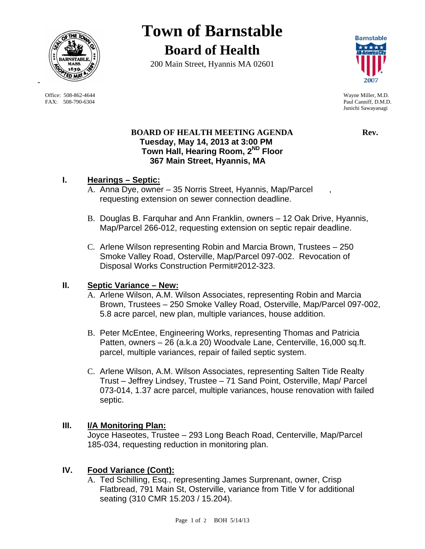

 Office: 508-862-4644 Wayne Miller, M.D. FAX: 508-790-6304 Paul Canniff, D.M.D.

# **Town of Barnstable Board of Health**

200 Main Street, Hyannis MA 02601



Junichi Sawayanagi

## **BOARD OF HEALTH MEETING AGENDA Rev.** Rev.  **Tuesday, May 14, 2013 at 3:00 PM Town Hall, Hearing Room, 2ND Floor 367 Main Street, Hyannis, MA**

# **I. Hearings – Septic:**

- A. Anna Dye, owner 35 Norris Street, Hyannis, Map/Parcel , requesting extension on sewer connection deadline.
- B. Douglas B. Farquhar and Ann Franklin, owners 12 Oak Drive, Hyannis, Map/Parcel 266-012, requesting extension on septic repair deadline.
- C. Arlene Wilson representing Robin and Marcia Brown, Trustees 250 Smoke Valley Road, Osterville, Map/Parcel 097-002. Revocation of Disposal Works Construction Permit#2012-323.

# **II. Septic Variance – New:**

- A. Arlene Wilson, A.M. Wilson Associates, representing Robin and Marcia Brown, Trustees – 250 Smoke Valley Road, Osterville, Map/Parcel 097-002, 5.8 acre parcel, new plan, multiple variances, house addition.
- B. Peter McEntee, Engineering Works, representing Thomas and Patricia Patten, owners – 26 (a.k.a 20) Woodvale Lane, Centerville, 16,000 sq.ft. parcel, multiple variances, repair of failed septic system.
- C. Arlene Wilson, A.M. Wilson Associates, representing Salten Tide Realty Trust – Jeffrey Lindsey, Trustee – 71 Sand Point, Osterville, Map/ Parcel 073-014, 1.37 acre parcel, multiple variances, house renovation with failed septic.

## **III. I/A Monitoring Plan:**

Joyce Haseotes, Trustee – 293 Long Beach Road, Centerville, Map/Parcel 185-034, requesting reduction in monitoring plan.

# **IV. Food Variance (Cont):**

A. Ted Schilling, Esq., representing James Surprenant, owner, Crisp Flatbread, 791 Main St, Osterville, variance from Title V for additional seating (310 CMR 15.203 / 15.204).